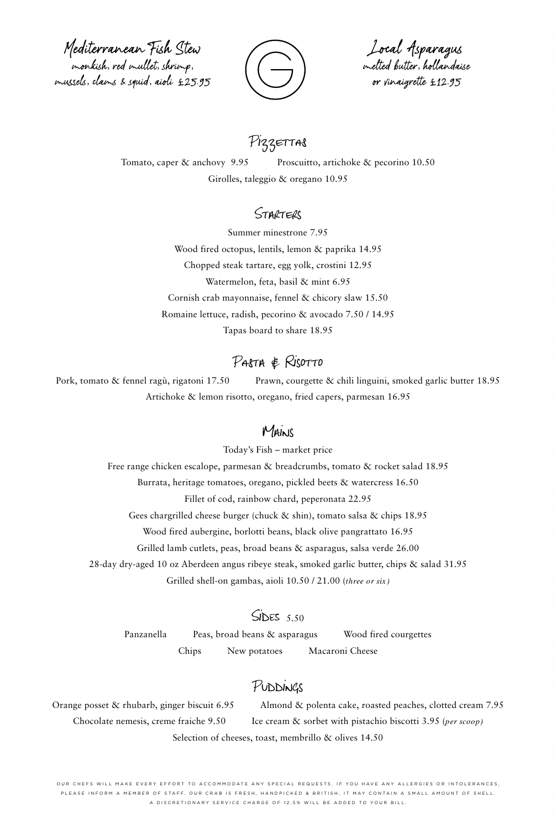Mediterranean Fish Stew monkish, red mullet, shrimp, mussels, clams & squid, aioli £25.95



Local Asparagus melted butter, hollandaise or vinaigrette £12.95

# PizzeTTAS

Tomato, caper & anchovy 9.95 Proscuitto, artichoke & pecorino 10.50 Girolles, taleggio & oregano 10.95

#### STARTERS

Summer minestrone 7.95 Wood fired octopus, lentils, lemon & paprika 14.95 Chopped steak tartare, egg yolk, crostini 12.95 Watermelon, feta, basil & mint 6.95 Cornish crab mayonnaise, fennel & chicory slaw 15.50 Romaine lettuce, radish, pecorino & avocado 7.50 / 14.95 Tapas board to share 18.95

## Pasta & Risotto

Pork, tomato & fennel ragù, rigatoni 17.50 Prawn, courgette & chili linguini, smoked garlic butter 18.95 Artichoke & lemon risotto, oregano, fried capers, parmesan 16.95

## Mains

Today's Fish – market price Free range chicken escalope, parmesan & breadcrumbs, tomato & rocket salad 18.95 Burrata, heritage tomatoes, oregano, pickled beets & watercress 16.50 Fillet of cod, rainbow chard, peperonata 22.95 Gees chargrilled cheese burger (chuck & shin), tomato salsa & chips 18.95 Wood fired aubergine, borlotti beans, black olive pangrattato 16.95 Grilled lamb cutlets, peas, broad beans & asparagus, salsa verde 26.00 28-day dry-aged 10 oz Aberdeen angus ribeye steak, smoked garlic butter, chips & salad 31.95

Grilled shell-on gambas, aioli 10.50 / 21.00 (*three or six)*

#### $SDES$  5.50

Panzanella Peas, broad beans & asparagus Wood fired courgettes Chips New potatoes Macaroni Cheese

## Puddings

Orange posset & rhubarb, ginger biscuit 6.95 Almond & polenta cake, roasted peaches, clotted cream 7.95 Chocolate nemesis, creme fraiche 9.50 Ice cream & sorbet with pistachio biscotti 3.95 (*per scoop)* Selection of cheeses, toast, membrillo & olives 14.50